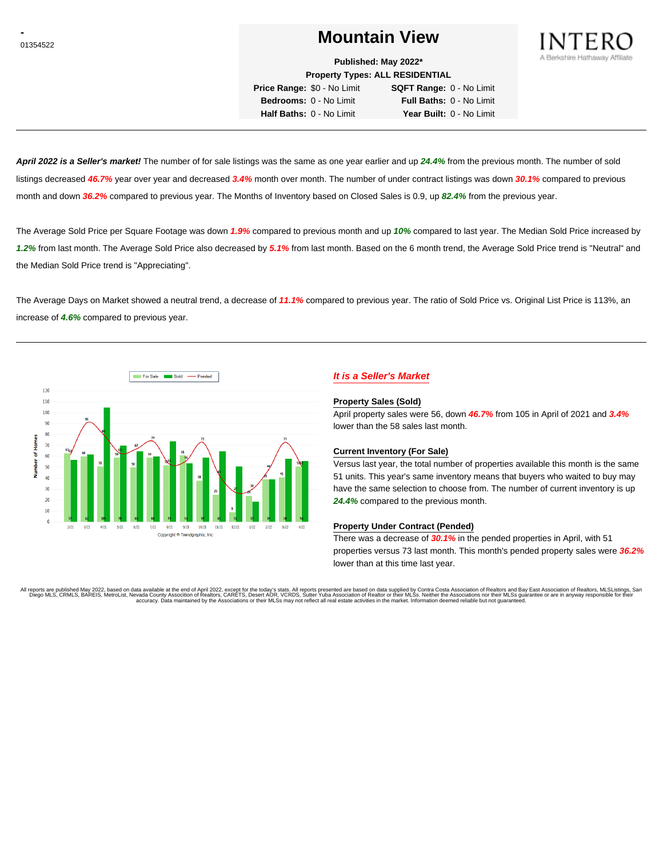# <sup>01354522</sup> **Mountain View**



**Published: May 2022\***

**Property Types: ALL RESIDENTIAL**

**Price Range:** \$0 - No Limit **SQFT Range:** 0 - No Limit **Bedrooms:** 0 - No Limit **Full Baths:** 0 - No Limit **Half Baths:** 0 - No Limit **Year Built:** 0 - No Limit

**April 2022 is a Seller's market!** The number of for sale listings was the same as one year earlier and up **24.4%** from the previous month. The number of sold listings decreased **46.7%** year over year and decreased **3.4%** month over month. The number of under contract listings was down **30.1%** compared to previous month and down **36.2%** compared to previous year. The Months of Inventory based on Closed Sales is 0.9, up **82.4%** from the previous year.

The Average Sold Price per Square Footage was down **1.9%** compared to previous month and up **10%** compared to last year. The Median Sold Price increased by **1.2%** from last month. The Average Sold Price also decreased by **5.1%** from last month. Based on the 6 month trend, the Average Sold Price trend is "Neutral" and the Median Sold Price trend is "Appreciating".

The Average Days on Market showed a neutral trend, a decrease of **11.1%** compared to previous year. The ratio of Sold Price vs. Original List Price is 113%, an increase of **4.6%** compared to previous year.



## **It is a Seller's Market**

#### **Property Sales (Sold)**

April property sales were 56, down **46.7%** from 105 in April of 2021 and **3.4%** lower than the 58 sales last month.

#### **Current Inventory (For Sale)**

Versus last year, the total number of properties available this month is the same 51 units. This year's same inventory means that buyers who waited to buy may have the same selection to choose from. The number of current inventory is up **24.4%** compared to the previous month.

#### **Property Under Contract (Pended)**

There was a decrease of **30.1%** in the pended properties in April, with 51 properties versus 73 last month. This month's pended property sales were **36.2%** lower than at this time last year.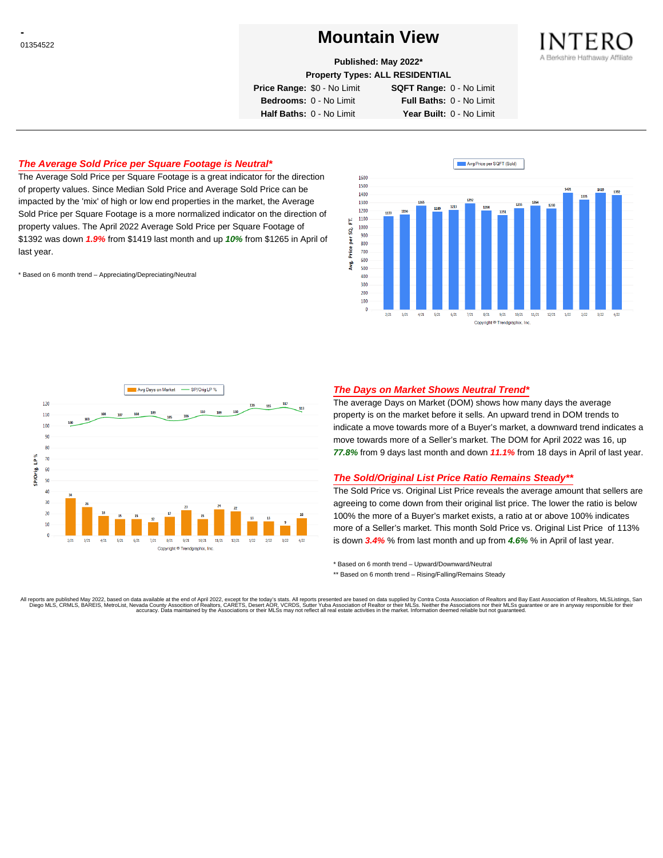# <sup>01354522</sup> **Mountain View**



**Published: May 2022\***

**Property Types: ALL RESIDENTIAL**

**Price Range:** \$0 - No Limit **SQFT Range:** 0 - No Limit

**Bedrooms:** 0 - No Limit **Full Baths:** 0 - No Limit **Half Baths:** 0 - No Limit **Year Built:** 0 - No Limit

### **The Average Sold Price per Square Footage is Neutral\***

The Average Sold Price per Square Footage is a great indicator for the direction of property values. Since Median Sold Price and Average Sold Price can be impacted by the 'mix' of high or low end properties in the market, the Average Sold Price per Square Footage is a more normalized indicator on the direction of property values. The April 2022 Average Sold Price per Square Footage of \$1392 was down **1.9%** from \$1419 last month and up **10%** from \$1265 in April of last year.

\* Based on 6 month trend – Appreciating/Depreciating/Neutral





### **The Days on Market Shows Neutral Trend\***

The average Days on Market (DOM) shows how many days the average property is on the market before it sells. An upward trend in DOM trends to indicate a move towards more of a Buyer's market, a downward trend indicates a move towards more of a Seller's market. The DOM for April 2022 was 16, up **77.8%** from 9 days last month and down **11.1%** from 18 days in April of last year.

#### **The Sold/Original List Price Ratio Remains Steady\*\***

The Sold Price vs. Original List Price reveals the average amount that sellers are agreeing to come down from their original list price. The lower the ratio is below 100% the more of a Buyer's market exists, a ratio at or above 100% indicates more of a Seller's market. This month Sold Price vs. Original List Price of 113% is down **3.4%** % from last month and up from **4.6%** % in April of last year.

\* Based on 6 month trend – Upward/Downward/Neutral

\*\* Based on 6 month trend - Rising/Falling/Remains Steady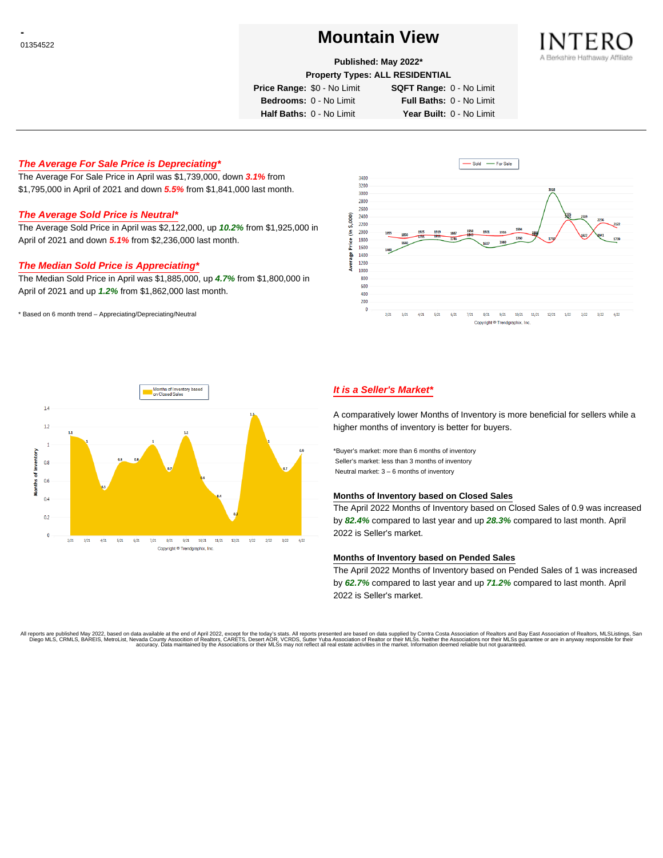# <sup>01354522</sup> **Mountain View**



#### **Published: May 2022\***

**Property Types: ALL RESIDENTIAL**

**Price Range:** \$0 - No Limit **SQFT Range:** 0 - No Limit

**Bedrooms:** 0 - No Limit **Full Baths:** 0 - No Limit **Half Baths:** 0 - No Limit **Year Built:** 0 - No Limit

### **The Average For Sale Price is Depreciating\***

The Average For Sale Price in April was \$1,739,000, down **3.1%** from \$1,795,000 in April of 2021 and down **5.5%** from \$1,841,000 last month.

#### **The Average Sold Price is Neutral\***

The Average Sold Price in April was \$2,122,000, up **10.2%** from \$1,925,000 in April of 2021 and down **5.1%** from \$2,236,000 last month.

#### **The Median Sold Price is Appreciating\***

The Median Sold Price in April was \$1,885,000, up **4.7%** from \$1,800,000 in April of 2021 and up **1.2%** from \$1,862,000 last month.

\* Based on 6 month trend – Appreciating/Depreciating/Neutral





## **It is a Seller's Market\***

A comparatively lower Months of Inventory is more beneficial for sellers while a higher months of inventory is better for buyers.

\*Buyer's market: more than 6 months of inventory Seller's market: less than 3 months of inventory Neutral market: 3 – 6 months of inventory

#### **Months of Inventory based on Closed Sales**

The April 2022 Months of Inventory based on Closed Sales of 0.9 was increased by **82.4%** compared to last year and up **28.3%** compared to last month. April 2022 is Seller's market.

#### **Months of Inventory based on Pended Sales**

The April 2022 Months of Inventory based on Pended Sales of 1 was increased by **62.7%** compared to last year and up **71.2%** compared to last month. April 2022 is Seller's market.